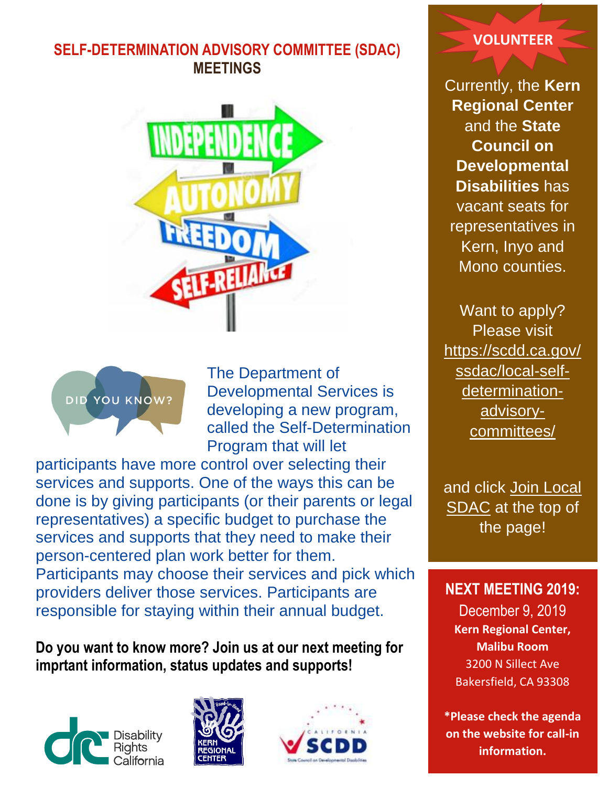# **SELF-DETERMINATION ADVISORY COMMITTEE (SDAC) MEETINGS**





The Department of Developmental Services is developing a new program, called the Self-Determination Program that will let

participants have more control over selecting their services and supports. One of the ways this can be done is by giving participants (or their parents or legal representatives) a specific budget to purchase the services and supports that they need to make their person-centered plan work better for them. Participants may choose their services and pick which providers deliver those services. Participants are responsible for staying within their annual budget.

## **Do you want to know more? Join us at our next meeting for imprtant information, status updates and supports!**







#### **VOLUNTEER**

Currently, the **Kern Regional Center** and the **State Council on Developmental Disabilities** has vacant seats for representatives in Kern, Inyo and Mono counties.

Want to apply? Please visit [https://scdd.ca.gov/](https://scdd.ca.gov/ssdac/local-self-determination-advisory-committees/) [ssdac/local-self](https://scdd.ca.gov/ssdac/local-self-determination-advisory-committees/)[determination](https://scdd.ca.gov/ssdac/local-self-determination-advisory-committees/)[advisory](https://scdd.ca.gov/ssdac/local-self-determination-advisory-committees/)[committees/](https://scdd.ca.gov/ssdac/local-self-determination-advisory-committees/)

and click [Join Local](https://docs.google.com/forms/d/e/1FAIpQLSeU3zu0qt2l9Xg48JPx6sJKTGil6RO0LJALHoDy6q8u3KAqSA/viewform)  [SDAC](https://docs.google.com/forms/d/e/1FAIpQLSeU3zu0qt2l9Xg48JPx6sJKTGil6RO0LJALHoDy6q8u3KAqSA/viewform) at the top of the page!

#### **NEXT MEETING 2019:**

December 9, 2019 **Kern Regional Center, Malibu Room**  3200 N Sillect Ave Bakersfield, CA 93308

**\*Please check the agenda on the website for call-in information.**